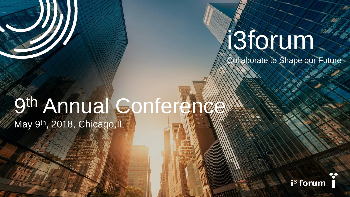## i3forum

Collaborate to Shape our Future

# 9th Annual Conference

May 9<sup>th</sup>, 2018, Chicago, IL

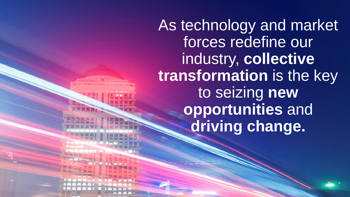As technology and market forces redefine our industry, **collective transformation** is the key to seizing **new opportunities** and **driving change.**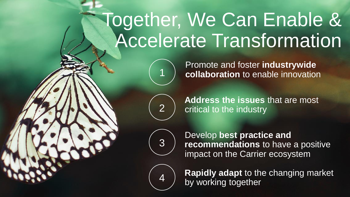### Together, We Can Enable & Accelerate Transformation



**collaboration** to enable innovation

Promote and foster **industrywide** 



**Address the issues** that are most critical to the industry



Develop **best practice and recommendations** to have a positive impact on the Carrier ecosystem



**Rapidly adapt** to the changing market by working together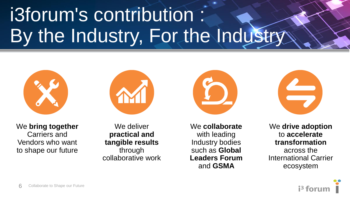### i3forum's contribution : By the Industry, For the Industry



We **bring together**  Carriers and Vendors who want to shape our future

We deliver **practical and tangible results**  through collaborative work We **collaborate** with leading Industry bodies such as **Global Leaders Forum**  and **GSMA**



We **drive adoption**  to **accelerate transformation**  across the International Carrier ecosystem

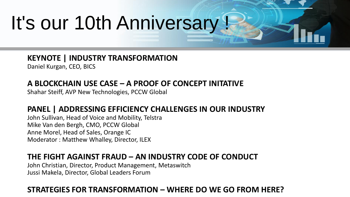### It's our 10th Anniversary !

**KEYNOTE | INDUSTRY TRANSFORMATION** 

Daniel Kurgan, CEO, BICS

#### **A BLOCKCHAIN USE CASE – A PROOF OF CONCEPT INITATIVE**

Shahar Steiff, AVP New Technologies, PCCW Global

#### **PANEL | ADDRESSING EFFICIENCY CHALLENGES IN OUR INDUSTRY**

John Sullivan, Head of Voice and Mobility, Telstra Mike Van den Bergh, CMO, PCCW Global Anne Morel, Head of Sales, Orange IC Moderator : Matthew Whalley, Director, ILEX

#### **THE FIGHT AGAINST FRAUD – AN INDUSTRY CODE OF CONDUCT**

John Christian, Director, Product Management, Metaswitch Jussi Makela, Director, Global Leaders Forum

#### STRATEGIES FOR TRANSFORMATION – WHERE DO WE GO FROM HERE?